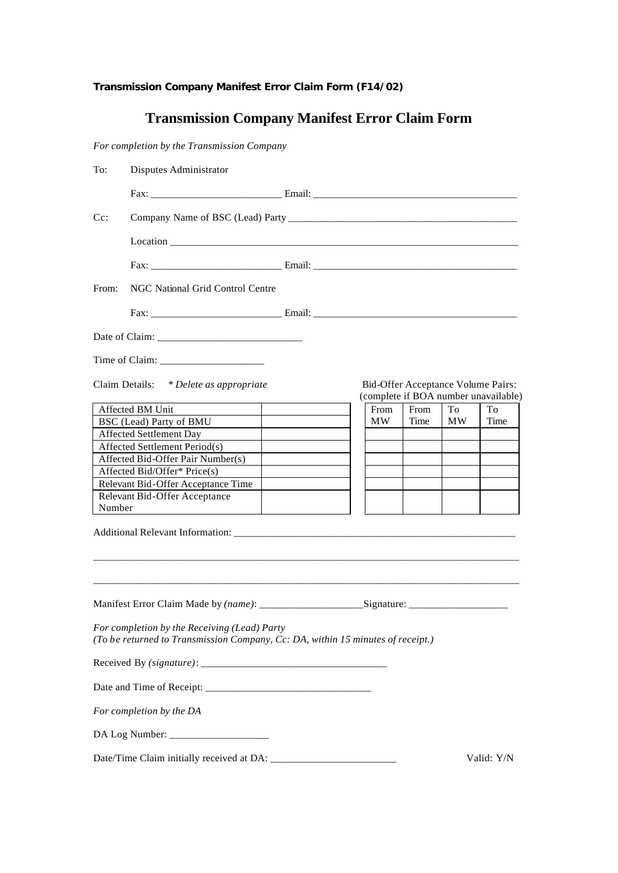*Transmission Company Manifest Error Claim Form (F14/02)*

## **Transmission Company Manifest Error Claim Form**

*For completion by the Transmission Company*

| To:    | Disputes Administrator                                                                                                          |  |      |      |    |                                                                            |  |  |  |  |  |
|--------|---------------------------------------------------------------------------------------------------------------------------------|--|------|------|----|----------------------------------------------------------------------------|--|--|--|--|--|
|        |                                                                                                                                 |  |      |      |    |                                                                            |  |  |  |  |  |
| $Cc$ : |                                                                                                                                 |  |      |      |    |                                                                            |  |  |  |  |  |
|        |                                                                                                                                 |  |      |      |    |                                                                            |  |  |  |  |  |
|        |                                                                                                                                 |  |      |      |    |                                                                            |  |  |  |  |  |
| From:  | NGC National Grid Control Centre                                                                                                |  |      |      |    |                                                                            |  |  |  |  |  |
|        |                                                                                                                                 |  |      |      |    |                                                                            |  |  |  |  |  |
|        |                                                                                                                                 |  |      |      |    |                                                                            |  |  |  |  |  |
|        |                                                                                                                                 |  |      |      |    |                                                                            |  |  |  |  |  |
|        |                                                                                                                                 |  |      |      |    |                                                                            |  |  |  |  |  |
|        |                                                                                                                                 |  |      |      |    |                                                                            |  |  |  |  |  |
|        | Claim Details: * Delete as appropriate                                                                                          |  |      |      |    | Bid-Offer Acceptance Volume Pairs:<br>(complete if BOA number unavailable) |  |  |  |  |  |
|        | Affected BM Unit                                                                                                                |  | From | From | To | To                                                                         |  |  |  |  |  |
|        | BSC (Lead) Party of BMU                                                                                                         |  | MW   | Time | MW | Time                                                                       |  |  |  |  |  |
|        | Affected Settlement Day                                                                                                         |  |      |      |    |                                                                            |  |  |  |  |  |
|        | Affected Settlement Period(s)                                                                                                   |  |      |      |    |                                                                            |  |  |  |  |  |
|        | Affected Bid-Offer Pair Number(s)                                                                                               |  |      |      |    |                                                                            |  |  |  |  |  |
|        | Affected Bid/Offer* Price(s)                                                                                                    |  |      |      |    |                                                                            |  |  |  |  |  |
|        | Relevant Bid-Offer Acceptance Time                                                                                              |  |      |      |    |                                                                            |  |  |  |  |  |
|        | Relevant Bid-Offer Acceptance                                                                                                   |  |      |      |    |                                                                            |  |  |  |  |  |
| Number |                                                                                                                                 |  |      |      |    |                                                                            |  |  |  |  |  |
|        |                                                                                                                                 |  |      |      |    |                                                                            |  |  |  |  |  |
|        |                                                                                                                                 |  |      |      |    |                                                                            |  |  |  |  |  |
|        | For completion by the Receiving (Lead) Party<br>(To be returned to Transmission Company, Cc: DA, within 15 minutes of receipt.) |  |      |      |    |                                                                            |  |  |  |  |  |
|        |                                                                                                                                 |  |      |      |    |                                                                            |  |  |  |  |  |
|        |                                                                                                                                 |  |      |      |    |                                                                            |  |  |  |  |  |
|        | For completion by the DA                                                                                                        |  |      |      |    |                                                                            |  |  |  |  |  |
|        |                                                                                                                                 |  |      |      |    |                                                                            |  |  |  |  |  |
|        |                                                                                                                                 |  |      |      |    | Valid: Y/N                                                                 |  |  |  |  |  |